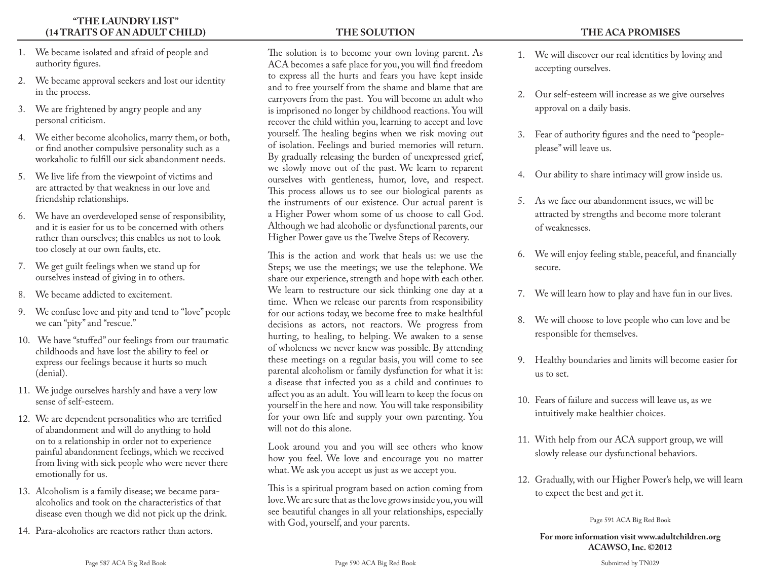## **"THE LAUNDRY LIST" (14 TRAITS OF AN ADULT CHILD)**

- 1. We became isolated and afraid of people and authority figures.
- 2. We became approval seekers and lost our identity in the process.
- 3. We are frightened by angry people and any personal criticism.
- 4. We either become alcoholics, marry them, or both, or find another compulsive personality such as a workaholic to fulfill our sick abandonment needs.
- 5. We live life from the viewpoint of victims and are attracted by that weakness in our love and friendship relationships.
- 6. We have an overdeveloped sense of responsibility, and it is easier for us to be concerned with others rather than ourselves; this enables us not to look too closely at our own faults, etc.
- 7. We get guilt feelings when we stand up for ourselves instead of giving in to others.
- 8. We became addicted to excitement.
- 9. We confuse love and pity and tend to "love" people we can "pity" and "rescue."
- 10. We have "stuffed" our feelings from our traumatic childhoods and have lost the ability to feel or express our feelings because it hurts so much (denial).
- 11. We judge ourselves harshly and have a very low sense of self-esteem.
- 12. We are dependent personalities who are terrified of abandonment and will do anything to hold on to a relationship in order not to experience painful abandonment feelings, which we received from living with sick people who were never there emotionally for us.
- 13. Alcoholism is a family disease; we became paraalcoholics and took on the characteristics of that disease even though we did not pick up the drink.
- 14. Para-alcoholics are reactors rather than actors.

**THE SOLUTION** 

The solution is to become your own loving parent. As ACA becomes a safe place for you, you will find freedom to express all the hurts and fears you have kept inside and to free yourself from the shame and blame that are carryovers from the past. You will become an adult who is imprisoned no longer by childhood reactions. You will recover the child within you, learning to accept and love yourself. The healing begins when we risk moving out of isolation. Feelings and buried memories will return. By gradually releasing the burden of unexpressed grief, we slowly move out of the past. We learn to reparent ourselves with gentleness, humor, love, and respect. This process allows us to see our biological parents as the instruments of our existence. Our actual parent is a Higher Power whom some of us choose to call God. Although we had alcoholic or dysfunctional parents, our Higher Power gave us the Twelve Steps of Recovery.

This is the action and work that heals us: we use the Steps; we use the meetings; we use the telephone. We share our experience, strength and hope with each other. We learn to restructure our sick thinking one day at a time. When we release our parents from responsibility for our actions today, we become free to make healthful decisions as actors, not reactors. We progress from hurting, to healing, to helping. We awaken to a sense of wholeness we never knew was possible. By attending these meetings on a regular basis, you will come to see parental alcoholism or family dysfunction for what it is: a disease that infected you as a child and continues to affect you as an adult. You will learn to keep the focus on yourself in the here and now. You will take responsibility for your own life and supply your own parenting. You will not do this alone.

Look around you and you will see others who know how you feel. We love and encourage you no matter what. We ask you accept us just as we accept you.

This is a spiritual program based on action coming from love. We are sure that as the love grows inside you, you will see beautiful changes in all your relationships, especially with God, yourself, and your parents.

- 1. We will discover our real identities by loving and accepting ourselves.
- 2. Our self-esteem will increase as we give ourselves approval on a daily basis.
- 3. Fear of authority figures and the need to "peopleplease" will leave us.
- 4. Our ability to share intimacy will grow inside us.
- 5. As we face our abandonment issues, we will be attracted by strengths and become more tolerant of weaknesses.
- 6. We will enjoy feeling stable, peaceful, and financially secure.
- 7. We will learn how to play and have fun in our lives.
- 8. We will choose to love people who can love and be responsible for themselves.
- 9. Healthy boundaries and limits will become easier for us to set.
- 10. Fears of failure and success will leave us, as we intuitively make healthier choices.
- 11. With help from our ACA support group, we will slowly release our dysfunctional behaviors.
- 12. Gradually, with our Higher Power's help, we will learn to expect the best and get it.

Page 591 ACA Big Red Book

## **For more information visit www.adultchildren.org ACAWSO, Inc. ©2012**